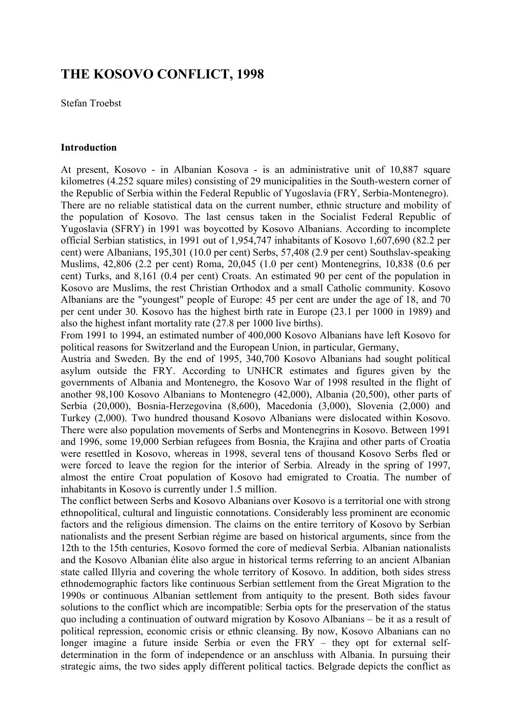# **THE KOSOVO CONFLICT, 1998**

Stefan Troebst

#### **Introduction**

At present, Kosovo - in Albanian Kosova - is an administrative unit of 10,887 square kilometres (4.252 square miles) consisting of 29 municipalities in the South-western corner of the Republic of Serbia within the Federal Republic of Yugoslavia (FRY, Serbia-Montenegro). There are no reliable statistical data on the current number, ethnic structure and mobility of the population of Kosovo. The last census taken in the Socialist Federal Republic of Yugoslavia (SFRY) in 1991 was boycotted by Kosovo Albanians. According to incomplete official Serbian statistics, in 1991 out of 1,954,747 inhabitants of Kosovo 1,607,690 (82.2 per cent) were Albanians, 195,301 (10.0 per cent) Serbs, 57,408 (2.9 per cent) Southslav-speaking Muslims, 42,806 (2.2 per cent) Roma, 20,045 (1.0 per cent) Montenegrins, 10,838 (0.6 per cent) Turks, and 8,161 (0.4 per cent) Croats. An estimated 90 per cent of the population in Kosovo are Muslims, the rest Christian Orthodox and a small Catholic community. Kosovo Albanians are the "youngest" people of Europe: 45 per cent are under the age of 18, and 70 per cent under 30. Kosovo has the highest birth rate in Europe (23.1 per 1000 in 1989) and also the highest infant mortality rate (27.8 per 1000 live births).

From 1991 to 1994, an estimated number of 400,000 Kosovo Albanians have left Kosovo for political reasons for Switzerland and the European Union, in particular, Germany,

Austria and Sweden. By the end of 1995, 340,700 Kosovo Albanians had sought political asylum outside the FRY. According to UNHCR estimates and figures given by the governments of Albania and Montenegro, the Kosovo War of 1998 resulted in the flight of another 98,100 Kosovo Albanians to Montenegro (42,000), Albania (20,500), other parts of Serbia (20,000), Bosnia-Herzegovina (8,600), Macedonia (3,000), Slovenia (2,000) and Turkey (2,000). Two hundred thousand Kosovo Albanians were dislocated within Kosovo. There were also population movements of Serbs and Montenegrins in Kosovo. Between 1991 and 1996, some 19,000 Serbian refugees from Bosnia, the Krajina and other parts of Croatia were resettled in Kosovo, whereas in 1998, several tens of thousand Kosovo Serbs fled or were forced to leave the region for the interior of Serbia. Already in the spring of 1997, almost the entire Croat population of Kosovo had emigrated to Croatia. The number of inhabitants in Kosovo is currently under 1.5 million.

The conflict between Serbs and Kosovo Albanians over Kosovo is a territorial one with strong ethnopolitical, cultural and linguistic connotations. Considerably less prominent are economic factors and the religious dimension. The claims on the entire territory of Kosovo by Serbian nationalists and the present Serbian régime are based on historical arguments, since from the 12th to the 15th centuries, Kosovo formed the core of medieval Serbia. Albanian nationalists and the Kosovo Albanian élite also argue in historical terms referring to an ancient Albanian state called Illyria and covering the whole territory of Kosovo. In addition, both sides stress ethnodemographic factors like continuous Serbian settlement from the Great Migration to the 1990s or continuous Albanian settlement from antiquity to the present. Both sides favour solutions to the conflict which are incompatible: Serbia opts for the preservation of the status quo including a continuation of outward migration by Kosovo Albanians – be it as a result of political repression, economic crisis or ethnic cleansing. By now, Kosovo Albanians can no longer imagine a future inside Serbia or even the FRY – they opt for external selfdetermination in the form of independence or an anschluss with Albania. In pursuing their strategic aims, the two sides apply different political tactics. Belgrade depicts the conflict as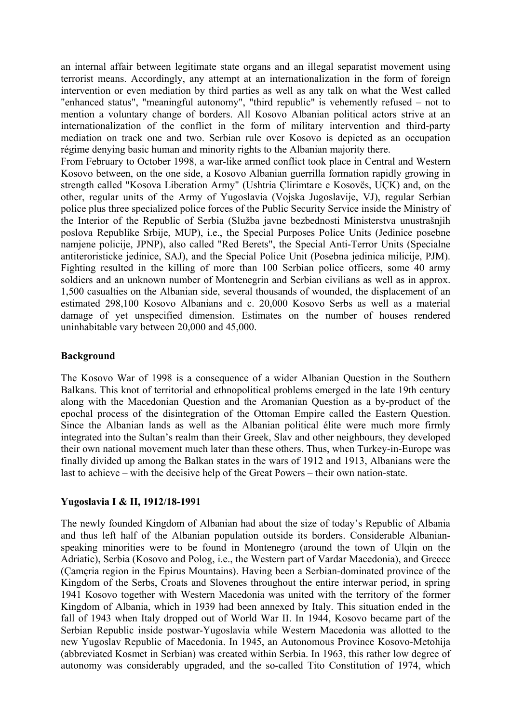an internal affair between legitimate state organs and an illegal separatist movement using terrorist means. Accordingly, any attempt at an internationalization in the form of foreign intervention or even mediation by third parties as well as any talk on what the West called "enhanced status", "meaningful autonomy", "third republic" is vehemently refused – not to mention a voluntary change of borders. All Kosovo Albanian political actors strive at an internationalization of the conflict in the form of military intervention and third-party mediation on track one and two. Serbian rule over Kosovo is depicted as an occupation régime denying basic human and minority rights to the Albanian majority there.

From February to October 1998, a war-like armed conflict took place in Central and Western Kosovo between, on the one side, a Kosovo Albanian guerrilla formation rapidly growing in strength called "Kosova Liberation Army" (Ushtria Çlirimtare e Kosovës, UÇK) and, on the other, regular units of the Army of Yugoslavia (Vojska Jugoslavije, VJ), regular Serbian police plus three specialized police forces of the Public Security Service inside the Ministry of the Interior of the Republic of Serbia (Služba javne bezbednosti Ministerstva unustrašnjih poslova Republike Srbije, MUP), i.e., the Special Purposes Police Units (Jedinice posebne namjene policije, JPNP), also called "Red Berets", the Special Anti-Terror Units (Specialne antiteroristicke jedinice, SAJ), and the Special Police Unit (Posebna jedinica milicije, PJM). Fighting resulted in the killing of more than 100 Serbian police officers, some 40 army soldiers and an unknown number of Montenegrin and Serbian civilians as well as in approx. 1,500 casualties on the Albanian side, several thousands of wounded, the displacement of an estimated 298,100 Kosovo Albanians and c. 20,000 Kosovo Serbs as well as a material damage of yet unspecified dimension. Estimates on the number of houses rendered uninhabitable vary between 20,000 and 45,000.

## **Background**

The Kosovo War of 1998 is a consequence of a wider Albanian Question in the Southern Balkans. This knot of territorial and ethnopolitical problems emerged in the late 19th century along with the Macedonian Question and the Aromanian Question as a by-product of the epochal process of the disintegration of the Ottoman Empire called the Eastern Question. Since the Albanian lands as well as the Albanian political élite were much more firmly integrated into the Sultan's realm than their Greek, Slav and other neighbours, they developed their own national movement much later than these others. Thus, when Turkey-in-Europe was finally divided up among the Balkan states in the wars of 1912 and 1913, Albanians were the last to achieve – with the decisive help of the Great Powers – their own nation-state.

#### **Yugoslavia I & II, 1912/18-1991**

The newly founded Kingdom of Albanian had about the size of today's Republic of Albania and thus left half of the Albanian population outside its borders. Considerable Albanianspeaking minorities were to be found in Montenegro (around the town of Ulqin on the Adriatic), Serbia (Kosovo and Polog, i.e., the Western part of Vardar Macedonia), and Greece (Çamçria region in the Epirus Mountains). Having been a Serbian-dominated province of the Kingdom of the Serbs, Croats and Slovenes throughout the entire interwar period, in spring 1941 Kosovo together with Western Macedonia was united with the territory of the former Kingdom of Albania, which in 1939 had been annexed by Italy. This situation ended in the fall of 1943 when Italy dropped out of World War II. In 1944, Kosovo became part of the Serbian Republic inside postwar-Yugoslavia while Western Macedonia was allotted to the new Yugoslav Republic of Macedonia. In 1945, an Autonomous Province Kosovo-Metohija (abbreviated Kosmet in Serbian) was created within Serbia. In 1963, this rather low degree of autonomy was considerably upgraded, and the so-called Tito Constitution of 1974, which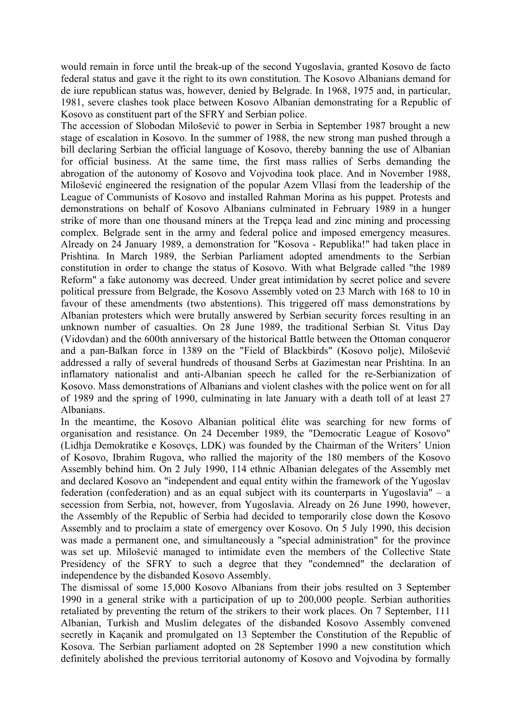would remain in force until the break-up of the second Yugoslavia, granted Kosovo de facto federal status and gave it the right to its own constitution. The Kosovo Albanians demand for de iure republican status was, however, denied by Belgrade. In 1968, 1975 and, in particular, 1981, severe clashes took place between Kosovo Albanian demonstrating for a Republic of Kosovo as constituent part of the SFRY and Serbian police.

The accession of Slobodan Milošević to power in Serbia in September 1987 brought a new stage of escalation in Kosovo. In the summer of 1988, the new strong man pushed through a bill declaring Serbian the official language of Kosovo, thereby banning the use of Albanian for official business. At the same time, the first mass rallies of Serbs demanding the abrogation of the autonomy of Kosovo and Vojvodina took place. And in November 1988, Milošević engineered the resignation of the popular Azem Vllasi from the leadership of the League of Communists of Kosovo and installed Rahman Morina as his puppet. Protests and demonstrations on behalf of Kosovo Albanians culminated in February 1989 in a hunger strike of more than one thousand miners at the Trepça lead and zinc mining and processing complex. Belgrade sent in the army and federal police and imposed emergency measures. Already on 24 January 1989, a demonstration for "Kosova - Republika!" had taken place in Prishtina. In March 1989, the Serbian Parliament adopted amendments to the Serbian constitution in order to change the status of Kosovo. With what Belgrade called "the 1989 Reform" a fake autonomy was decreed. Under great intimidation by secret police and severe political pressure from Belgrade, the Kosovo Assembly voted on 23 March with 168 to 10 in favour of these amendments (two abstentions). This triggered off mass demonstrations by Albanian protesters which were brutally answered by Serbian security forces resulting in an unknown number of casualties. On 28 June 1989, the traditional Serbian St. Vitus Day (Vidovdan) and the 600th anniversary of the historical Battle between the Ottoman conqueror and a pan-Balkan force in 1389 on the "Field of Blackbirds" (Kosovo polje), Milošević addressed a rally of several hundreds of thousand Serbs at Gazimestan near Prishtina. In an inflamatory nationalist and anti-Albanian speech he called for the re-Serbianization of Kosovo. Mass demonstrations of Albanians and violent clashes with the police went on for all of 1989 and the spring of 1990, culminating in late January with a death toll of at least 27 Albanians.

In the meantime, the Kosovo Albanian political élite was searching for new forms of organisation and resistance. On 24 December 1989, the "Democratic League of Kosovo" (Lidhja Demokratike e Kosovçs, LDK) was founded by the Chairman of the Writers' Union of Kosovo, Ibrahim Rugova, who rallied the majority of the 180 members of the Kosovo Assembly behind him. On 2 July 1990, 114 ethnic Albanian delegates of the Assembly met and declared Kosovo an "independent and equal entity within the framework of the Yugoslav federation (confederation) and as an equal subject with its counterparts in Yugoslavia" – a secession from Serbia, not, however, from Yugoslavia. Already on 26 June 1990, however, the Assembly of the Republic of Serbia had decided to temporarily close down the Kosovo Assembly and to proclaim a state of emergency over Kosovo. On 5 July 1990, this decision was made a permanent one, and simultaneously a "special administration" for the province was set up. Milošević managed to intimidate even the members of the Collective State Presidency of the SFRY to such a degree that they "condemned" the declaration of independence by the disbanded Kosovo Assembly.

The dismissal of some 15,000 Kosovo Albanians from their jobs resulted on 3 September 1990 in a general strike with a participation of up to 200,000 people. Serbian authorities retaliated by preventing the return of the strikers to their work places. On 7 September, 111 Albanian, Turkish and Muslim delegates of the disbanded Kosovo Assembly convened secretly in Kaçanik and promulgated on 13 September the Constitution of the Republic of Kosova. The Serbian parliament adopted on 28 September 1990 a new constitution which definitely abolished the previous territorial autonomy of Kosovo and Vojvodina by formally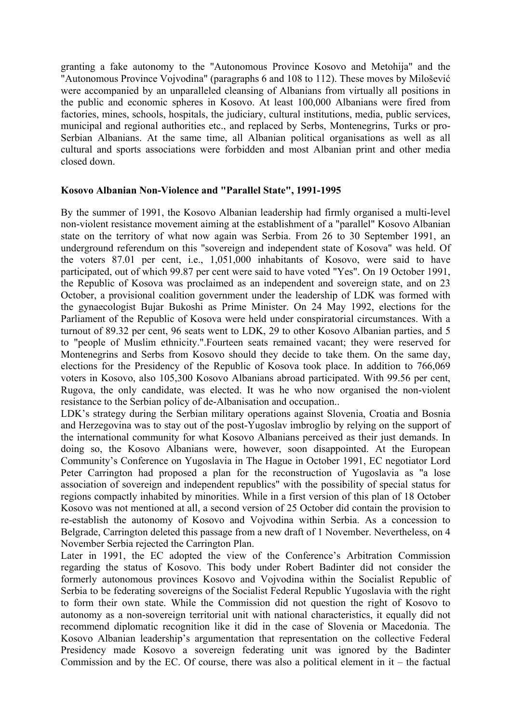granting a fake autonomy to the "Autonomous Province Kosovo and Metohija" and the "Autonomous Province Vojvodina" (paragraphs 6 and 108 to 112). These moves by Milošević were accompanied by an unparalleled cleansing of Albanians from virtually all positions in the public and economic spheres in Kosovo. At least 100,000 Albanians were fired from factories, mines, schools, hospitals, the judiciary, cultural institutions, media, public services, municipal and regional authorities etc., and replaced by Serbs, Montenegrins, Turks or pro-Serbian Albanians. At the same time, all Albanian political organisations as well as all cultural and sports associations were forbidden and most Albanian print and other media closed down.

## **Kosovo Albanian Non-Violence and "Parallel State", 1991-1995**

By the summer of 1991, the Kosovo Albanian leadership had firmly organised a multi-level non-violent resistance movement aiming at the establishment of a "parallel" Kosovo Albanian state on the territory of what now again was Serbia. From 26 to 30 September 1991, an underground referendum on this "sovereign and independent state of Kosova" was held. Of the voters 87.01 per cent, i.e., 1,051,000 inhabitants of Kosovo, were said to have participated, out of which 99.87 per cent were said to have voted "Yes". On 19 October 1991, the Republic of Kosova was proclaimed as an independent and sovereign state, and on 23 October, a provisional coalition government under the leadership of LDK was formed with the gynaecologist Bujar Bukoshi as Prime Minister. On 24 May 1992, elections for the Parliament of the Republic of Kosova were held under conspiratorial circumstances. With a turnout of 89.32 per cent, 96 seats went to LDK, 29 to other Kosovo Albanian parties, and 5 to "people of Muslim ethnicity.".Fourteen seats remained vacant; they were reserved for Montenegrins and Serbs from Kosovo should they decide to take them. On the same day, elections for the Presidency of the Republic of Kosova took place. In addition to 766,069 voters in Kosovo, also 105,300 Kosovo Albanians abroad participated. With 99.56 per cent, Rugova, the only candidate, was elected. It was he who now organised the non-violent resistance to the Serbian policy of de-Albanisation and occupation..

LDK's strategy during the Serbian military operations against Slovenia, Croatia and Bosnia and Herzegovina was to stay out of the post-Yugoslav imbroglio by relying on the support of the international community for what Kosovo Albanians perceived as their just demands. In doing so, the Kosovo Albanians were, however, soon disappointed. At the European Community's Conference on Yugoslavia in The Hague in October 1991, EC negotiator Lord Peter Carrington had proposed a plan for the reconstruction of Yugoslavia as "a lose association of sovereign and independent republics" with the possibility of special status for regions compactly inhabited by minorities. While in a first version of this plan of 18 October Kosovo was not mentioned at all, a second version of 25 October did contain the provision to re-establish the autonomy of Kosovo and Vojvodina within Serbia. As a concession to Belgrade, Carrington deleted this passage from a new draft of 1 November. Nevertheless, on 4 November Serbia rejected the Carrington Plan.

Later in 1991, the EC adopted the view of the Conference's Arbitration Commission regarding the status of Kosovo. This body under Robert Badinter did not consider the formerly autonomous provinces Kosovo and Vojvodina within the Socialist Republic of Serbia to be federating sovereigns of the Socialist Federal Republic Yugoslavia with the right to form their own state. While the Commission did not question the right of Kosovo to autonomy as a non-sovereign territorial unit with national characteristics, it equally did not recommend diplomatic recognition like it did in the case of Slovenia or Macedonia. The Kosovo Albanian leadership's argumentation that representation on the collective Federal Presidency made Kosovo a sovereign federating unit was ignored by the Badinter Commission and by the EC. Of course, there was also a political element in  $it$  – the factual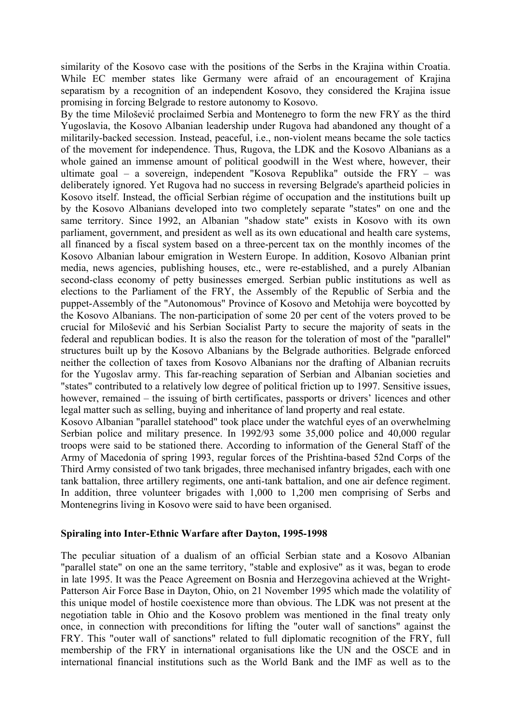similarity of the Kosovo case with the positions of the Serbs in the Krajina within Croatia. While EC member states like Germany were afraid of an encouragement of Krajina separatism by a recognition of an independent Kosovo, they considered the Krajina issue promising in forcing Belgrade to restore autonomy to Kosovo.

By the time Milošević proclaimed Serbia and Montenegro to form the new FRY as the third Yugoslavia, the Kosovo Albanian leadership under Rugova had abandoned any thought of a militarily-backed secession. Instead, peaceful, i.e., non-violent means became the sole tactics of the movement for independence. Thus, Rugova, the LDK and the Kosovo Albanians as a whole gained an immense amount of political goodwill in the West where, however, their ultimate goal – a sovereign, independent "Kosova Republika" outside the FRY – was deliberately ignored. Yet Rugova had no success in reversing Belgrade's apartheid policies in Kosovo itself. Instead, the official Serbian régime of occupation and the institutions built up by the Kosovo Albanians developed into two completely separate "states" on one and the same territory. Since 1992, an Albanian "shadow state" exists in Kosovo with its own parliament, government, and president as well as its own educational and health care systems, all financed by a fiscal system based on a three-percent tax on the monthly incomes of the Kosovo Albanian labour emigration in Western Europe. In addition, Kosovo Albanian print media, news agencies, publishing houses, etc., were re-established, and a purely Albanian second-class economy of petty businesses emerged. Serbian public institutions as well as elections to the Parliament of the FRY, the Assembly of the Republic of Serbia and the puppet-Assembly of the "Autonomous" Province of Kosovo and Metohija were boycotted by the Kosovo Albanians. The non-participation of some 20 per cent of the voters proved to be crucial for Milošević and his Serbian Socialist Party to secure the majority of seats in the federal and republican bodies. It is also the reason for the toleration of most of the "parallel" structures built up by the Kosovo Albanians by the Belgrade authorities. Belgrade enforced neither the collection of taxes from Kosovo Albanians nor the drafting of Albanian recruits for the Yugoslav army. This far-reaching separation of Serbian and Albanian societies and "states" contributed to a relatively low degree of political friction up to 1997. Sensitive issues, however, remained – the issuing of birth certificates, passports or drivers' licences and other legal matter such as selling, buying and inheritance of land property and real estate.

Kosovo Albanian "parallel statehood" took place under the watchful eyes of an overwhelming Serbian police and military presence. In 1992/93 some 35,000 police and 40,000 regular troops were said to be stationed there. According to information of the General Staff of the Army of Macedonia of spring 1993, regular forces of the Prishtina-based 52nd Corps of the Third Army consisted of two tank brigades, three mechanised infantry brigades, each with one tank battalion, three artillery regiments, one anti-tank battalion, and one air defence regiment. In addition, three volunteer brigades with 1,000 to 1,200 men comprising of Serbs and Montenegrins living in Kosovo were said to have been organised.

#### **Spiraling into Inter-Ethnic Warfare after Dayton, 1995-1998**

The peculiar situation of a dualism of an official Serbian state and a Kosovo Albanian "parallel state" on one an the same territory, "stable and explosive" as it was, began to erode in late 1995. It was the Peace Agreement on Bosnia and Herzegovina achieved at the Wright-Patterson Air Force Base in Dayton, Ohio, on 21 November 1995 which made the volatility of this unique model of hostile coexistence more than obvious. The LDK was not present at the negotiation table in Ohio and the Kosovo problem was mentioned in the final treaty only once, in connection with preconditions for lifting the "outer wall of sanctions" against the FRY. This "outer wall of sanctions" related to full diplomatic recognition of the FRY, full membership of the FRY in international organisations like the UN and the OSCE and in international financial institutions such as the World Bank and the IMF as well as to the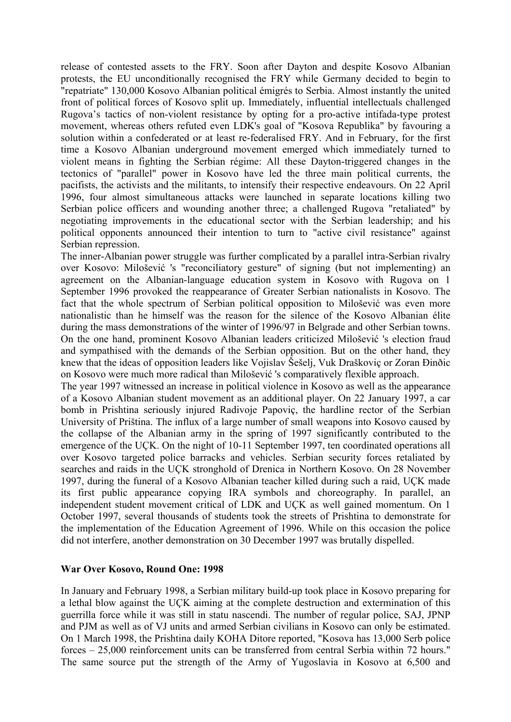release of contested assets to the FRY. Soon after Dayton and despite Kosovo Albanian protests, the EU unconditionally recognised the FRY while Germany decided to begin to "repatriate" 130,000 Kosovo Albanian political émigrés to Serbia. Almost instantly the united front of political forces of Kosovo split up. Immediately, influential intellectuals challenged Rugova's tactics of non-violent resistance by opting for a pro-active intifada-type protest movement, whereas others refuted even LDK's goal of "Kosova Republika" by favouring a solution within a confederated or at least re-federalised FRY. And in February, for the first time a Kosovo Albanian underground movement emerged which immediately turned to violent means in fighting the Serbian régime: All these Dayton-triggered changes in the tectonics of "parallel" power in Kosovo have led the three main political currents, the pacifists, the activists and the militants, to intensify their respective endeavours. On 22 April 1996, four almost simultaneous attacks were launched in separate locations killing two Serbian police officers and wounding another three; a challenged Rugova "retaliated" by negotiating improvements in the educational sector with the Serbian leadership; and his political opponents announced their intention to turn to "active civil resistance" against Serbian repression.

The inner-Albanian power struggle was further complicated by a parallel intra-Serbian rivalry over Kosovo: Milošević 's "reconciliatory gesture" of signing (but not implementing) an agreement on the Albanian-language education system in Kosovo with Rugova on 1 September 1996 provoked the reappearance of Greater Serbian nationalists in Kosovo. The fact that the whole spectrum of Serbian political opposition to Milošević was even more nationalistic than he himself was the reason for the silence of the Kosovo Albanian élite during the mass demonstrations of the winter of 1996/97 in Belgrade and other Serbian towns. On the one hand, prominent Kosovo Albanian leaders criticized Milošević 's election fraud and sympathised with the demands of the Serbian opposition. But on the other hand, they knew that the ideas of opposition leaders like Vojislav Šešelj, Vuk Draškoviç or Zoran Ðinðic on Kosovo were much more radical than Milošević 's comparatively flexible approach.

The year 1997 witnessed an increase in political violence in Kosovo as well as the appearance of a Kosovo Albanian student movement as an additional player. On 22 January 1997, a car bomb in Prishtina seriously injured Radivoje Papoviç, the hardline rector of the Serbian University of Priština. The influx of a large number of small weapons into Kosovo caused by the collapse of the Albanian army in the spring of 1997 significantly contributed to the emergence of the UÇK. On the night of 10-11 September 1997, ten coordinated operations all over Kosovo targeted police barracks and vehicles. Serbian security forces retaliated by searches and raids in the UÇK stronghold of Drenica in Northern Kosovo. On 28 November 1997, during the funeral of a Kosovo Albanian teacher killed during such a raid, UÇK made its first public appearance copying IRA symbols and choreography. In parallel, an independent student movement critical of LDK and UÇK as well gained momentum. On 1 October 1997, several thousands of students took the streets of Prishtina to demonstrate for the implementation of the Education Agreement of 1996. While on this occasion the police did not interfere, another demonstration on 30 December 1997 was brutally dispelled.

#### **War Over Kosovo, Round One: 1998**

In January and February 1998, a Serbian military build-up took place in Kosovo preparing for a lethal blow against the UÇK aiming at the complete destruction and extermination of this guerrilla force while it was still in statu nascendi. The number of regular police, SAJ, JPNP and PJM as well as of VJ units and armed Serbian civilians in Kosovo can only be estimated. On 1 March 1998, the Prishtina daily KOHA Ditore reported, "Kosova has 13,000 Serb police forces – 25,000 reinforcement units can be transferred from central Serbia within 72 hours." The same source put the strength of the Army of Yugoslavia in Kosovo at 6,500 and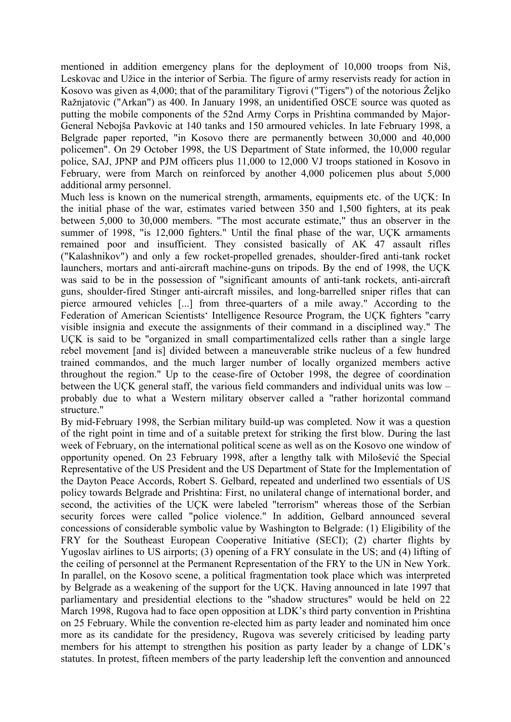mentioned in addition emergency plans for the deployment of 10,000 troops from Niš, Leskovac and Užice in the interior of Serbia. The figure of army reservists ready for action in Kosovo was given as 4,000; that of the paramilitary Tigrovi ("Tigers") of the notorious Željko Ražnjatovic ("Arkan") as 400. In January 1998, an unidentified OSCE source was quoted as putting the mobile components of the 52nd Army Corps in Prishtina commanded by Major-General Nebojša Pavkovic at 140 tanks and 150 armoured vehicles. In late February 1998, a Belgrade paper reported, "in Kosovo there are permanently between 30,000 and 40,000 policemen". On 29 October 1998, the US Department of State informed, the 10,000 regular police, SAJ, JPNP and PJM officers plus 11,000 to 12,000 VJ troops stationed in Kosovo in February, were from March on reinforced by another 4,000 policemen plus about 5,000 additional army personnel.

Much less is known on the numerical strength, armaments, equipments etc. of the UÇK: In the initial phase of the war, estimates varied between 350 and 1,500 fighters, at its peak between 5,000 to 30,000 members. "The most accurate estimate," thus an observer in the summer of 1998, "is 12,000 fighters." Until the final phase of the war, UCK armaments remained poor and insufficient. They consisted basically of AK 47 assault rifles ("Kalashnikov") and only a few rocket-propelled grenades, shoulder-fired anti-tank rocket launchers, mortars and anti-aircraft machine-guns on tripods. By the end of 1998, the UÇK was said to be in the possession of "significant amounts of anti-tank rockets, anti-aircraft guns, shoulder-fired Stinger anti-aircraft missiles, and long-barrelled sniper rifles that can pierce armoured vehicles [...] from three-quarters of a mile away." According to the Federation of American Scientists' Intelligence Resource Program, the UÇK fighters "carry visible insignia and execute the assignments of their command in a disciplined way." The UÇK is said to be "organized in small compartimentalized cells rather than a single large rebel movement [and is] divided between a maneuverable strike nucleus of a few hundred trained commandos, and the much larger number of locally organized members active throughout the region." Up to the cease-fire of October 1998, the degree of coordination between the UÇK general staff, the various field commanders and individual units was low – probably due to what a Western military observer called a "rather horizontal command structure."

By mid-February 1998, the Serbian military build-up was completed. Now it was a question of the right point in time and of a suitable pretext for striking the first blow. During the last week of February, on the international political scene as well as on the Kosovo one window of opportunity opened. On 23 February 1998, after a lengthy talk with Milošević the Special Representative of the US President and the US Department of State for the Implementation of the Dayton Peace Accords, Robert S. Gelbard, repeated and underlined two essentials of US policy towards Belgrade and Prishtina: First, no unilateral change of international border, and second, the activities of the UÇK were labeled "terrorism" whereas those of the Serbian security forces were called "police violence." In addition, Gelbard announced several concessions of considerable symbolic value by Washington to Belgrade: (1) Eligibility of the FRY for the Southeast European Cooperative Initiative (SECI); (2) charter flights by Yugoslav airlines to US airports; (3) opening of a FRY consulate in the US; and (4) lifting of the ceiling of personnel at the Permanent Representation of the FRY to the UN in New York. In parallel, on the Kosovo scene, a political fragmentation took place which was interpreted by Belgrade as a weakening of the support for the UÇK. Having announced in late 1997 that parliamentary and presidential elections to the "shadow structures" would be held on 22 March 1998, Rugova had to face open opposition at LDK's third party convention in Prishtina on 25 February. While the convention re-elected him as party leader and nominated him once more as its candidate for the presidency, Rugova was severely criticised by leading party members for his attempt to strengthen his position as party leader by a change of LDK's statutes. In protest, fifteen members of the party leadership left the convention and announced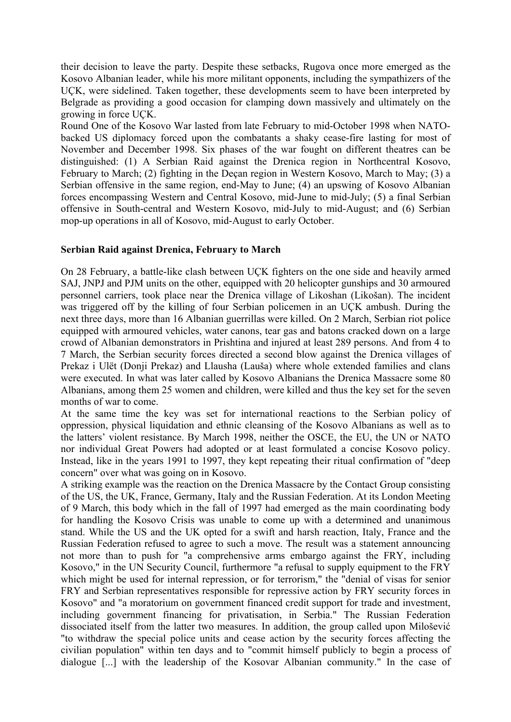their decision to leave the party. Despite these setbacks, Rugova once more emerged as the Kosovo Albanian leader, while his more militant opponents, including the sympathizers of the UÇK, were sidelined. Taken together, these developments seem to have been interpreted by Belgrade as providing a good occasion for clamping down massively and ultimately on the growing in force UÇK.

Round One of the Kosovo War lasted from late February to mid-October 1998 when NATObacked US diplomacy forced upon the combatants a shaky cease-fire lasting for most of November and December 1998. Six phases of the war fought on different theatres can be distinguished: (1) A Serbian Raid against the Drenica region in Northcentral Kosovo, February to March; (2) fighting in the Deçan region in Western Kosovo, March to May; (3) a Serbian offensive in the same region, end-May to June; (4) an upswing of Kosovo Albanian forces encompassing Western and Central Kosovo, mid-June to mid-July; (5) a final Serbian offensive in South-central and Western Kosovo, mid-July to mid-August; and (6) Serbian mop-up operations in all of Kosovo, mid-August to early October.

## **Serbian Raid against Drenica, February to March**

On 28 February, a battle-like clash between UÇK fighters on the one side and heavily armed SAJ, JNPJ and PJM units on the other, equipped with 20 helicopter gunships and 30 armoured personnel carriers, took place near the Drenica village of Likoshan (Likošan). The incident was triggered off by the killing of four Serbian policemen in an UÇK ambush. During the next three days, more than 16 Albanian guerrillas were killed. On 2 March, Serbian riot police equipped with armoured vehicles, water canons, tear gas and batons cracked down on a large crowd of Albanian demonstrators in Prishtina and injured at least 289 persons. And from 4 to 7 March, the Serbian security forces directed a second blow against the Drenica villages of Prekaz i Ulët (Donji Prekaz) and Llausha (Lauša) where whole extended families and clans were executed. In what was later called by Kosovo Albanians the Drenica Massacre some 80 Albanians, among them 25 women and children, were killed and thus the key set for the seven months of war to come.

At the same time the key was set for international reactions to the Serbian policy of oppression, physical liquidation and ethnic cleansing of the Kosovo Albanians as well as to the latters' violent resistance. By March 1998, neither the OSCE, the EU, the UN or NATO nor individual Great Powers had adopted or at least formulated a concise Kosovo policy. Instead, like in the years 1991 to 1997, they kept repeating their ritual confirmation of "deep concern" over what was going on in Kosovo.

A striking example was the reaction on the Drenica Massacre by the Contact Group consisting of the US, the UK, France, Germany, Italy and the Russian Federation. At its London Meeting of 9 March, this body which in the fall of 1997 had emerged as the main coordinating body for handling the Kosovo Crisis was unable to come up with a determined and unanimous stand. While the US and the UK opted for a swift and harsh reaction, Italy, France and the Russian Federation refused to agree to such a move. The result was a statement announcing not more than to push for "a comprehensive arms embargo against the FRY, including Kosovo," in the UN Security Council, furthermore "a refusal to supply equipment to the FRY which might be used for internal repression, or for terrorism," the "denial of visas for senior FRY and Serbian representatives responsible for repressive action by FRY security forces in Kosovo" and "a moratorium on government financed credit support for trade and investment, including government financing for privatisation, in Serbia." The Russian Federation dissociated itself from the latter two measures. In addition, the group called upon Milošević "to withdraw the special police units and cease action by the security forces affecting the civilian population" within ten days and to "commit himself publicly to begin a process of dialogue [...] with the leadership of the Kosovar Albanian community." In the case of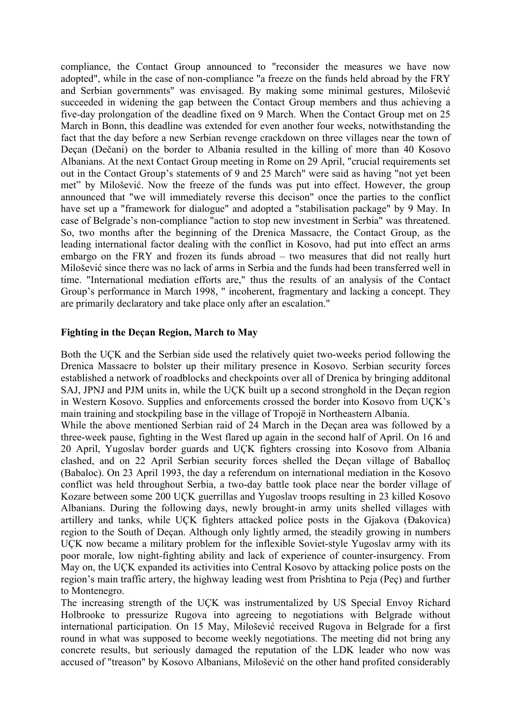compliance, the Contact Group announced to "reconsider the measures we have now adopted", while in the case of non-compliance "a freeze on the funds held abroad by the FRY and Serbian governments" was envisaged. By making some minimal gestures, Milošević succeeded in widening the gap between the Contact Group members and thus achieving a five-day prolongation of the deadline fixed on 9 March. When the Contact Group met on 25 March in Bonn, this deadline was extended for even another four weeks, notwithstanding the fact that the day before a new Serbian revenge crackdown on three villages near the town of Deçan (Dečani) on the border to Albania resulted in the killing of more than 40 Kosovo Albanians. At the next Contact Group meeting in Rome on 29 April, "crucial requirements set out in the Contact Group's statements of 9 and 25 March" were said as having "not yet been met" by Milošević. Now the freeze of the funds was put into effect. However, the group announced that "we will immediately reverse this decison" once the parties to the conflict have set up a "framework for dialogue" and adopted a "stabilisation package" by 9 May. In case of Belgrade's non-compliance "action to stop new investment in Serbia" was threatened. So, two months after the beginning of the Drenica Massacre, the Contact Group, as the leading international factor dealing with the conflict in Kosovo, had put into effect an arms embargo on the FRY and frozen its funds abroad – two measures that did not really hurt Milošević since there was no lack of arms in Serbia and the funds had been transferred well in time. "International mediation efforts are," thus the results of an analysis of the Contact Group's performance in March 1998, " incoherent, fragmentary and lacking a concept. They are primarily declaratory and take place only after an escalation."

## **Fighting in the Deçan Region, March to May**

Both the UÇK and the Serbian side used the relatively quiet two-weeks period following the Drenica Massacre to bolster up their military presence in Kosovo. Serbian security forces established a network of roadblocks and checkpoints over all of Drenica by bringing additonal SAJ, JPNJ and PJM units in, while the UÇK built up a second stronghold in the Deçan region in Western Kosovo. Supplies and enforcements crossed the border into Kosovo from UÇK's main training and stockpiling base in the village of Tropojë in Northeastern Albania.

While the above mentioned Serbian raid of 24 March in the Deçan area was followed by a three-week pause, fighting in the West flared up again in the second half of April. On 16 and 20 April, Yugoslav border guards and UÇK fighters crossing into Kosovo from Albania clashed, and on 22 April Serbian security forces shelled the Deçan village of Baballoç (Babaloc). On 23 April 1993, the day a referendum on international mediation in the Kosovo conflict was held throughout Serbia, a two-day battle took place near the border village of Kozare between some 200 UÇK guerrillas and Yugoslav troops resulting in 23 killed Kosovo Albanians. During the following days, newly brought-in army units shelled villages with artillery and tanks, while UÇK fighters attacked police posts in the Gjakova (Ðakovica) region to the South of Deçan. Although only lightly armed, the steadily growing in numbers UÇK now became a military problem for the inflexible Soviet-style Yugoslav army with its poor morale, low night-fighting ability and lack of experience of counter-insurgency. From May on, the UÇK expanded its activities into Central Kosovo by attacking police posts on the region's main traffic artery, the highway leading west from Prishtina to Peja (Peç) and further to Montenegro.

The increasing strength of the UÇK was instrumentalized by US Special Envoy Richard Holbrooke to pressurize Rugova into agreeing to negotiations with Belgrade without international participation. On 15 May, Milošević received Rugova in Belgrade for a first round in what was supposed to become weekly negotiations. The meeting did not bring any concrete results, but seriously damaged the reputation of the LDK leader who now was accused of "treason" by Kosovo Albanians, Milošević on the other hand profited considerably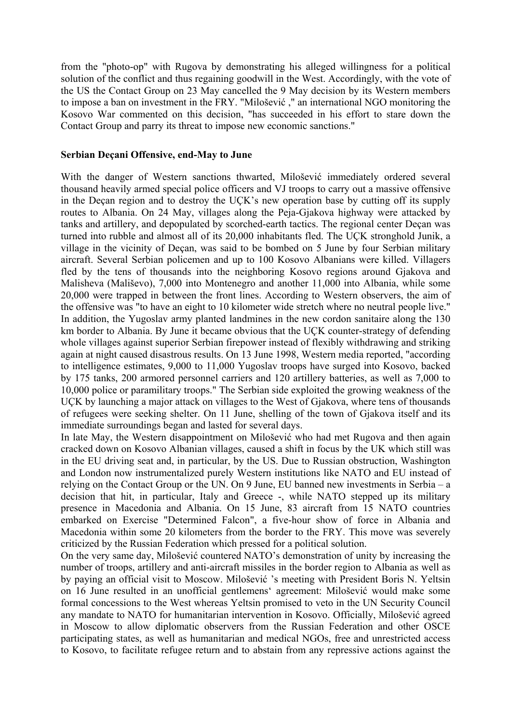from the "photo-op" with Rugova by demonstrating his alleged willingness for a political solution of the conflict and thus regaining goodwill in the West. Accordingly, with the vote of the US the Contact Group on 23 May cancelled the 9 May decision by its Western members to impose a ban on investment in the FRY. "Milošević ," an international NGO monitoring the Kosovo War commented on this decision, "has succeeded in his effort to stare down the Contact Group and parry its threat to impose new economic sanctions."

#### **Serbian Deçani Offensive, end-May to June**

With the danger of Western sanctions thwarted, Milošević immediately ordered several thousand heavily armed special police officers and VJ troops to carry out a massive offensive in the Deçan region and to destroy the UÇK's new operation base by cutting off its supply routes to Albania. On 24 May, villages along the Peja-Gjakova highway were attacked by tanks and artillery, and depopulated by scorched-earth tactics. The regional center Deçan was turned into rubble and almost all of its 20,000 inhabitants fled. The UÇK stronghold Junik, a village in the vicinity of Deçan, was said to be bombed on 5 June by four Serbian military aircraft. Several Serbian policemen and up to 100 Kosovo Albanians were killed. Villagers fled by the tens of thousands into the neighboring Kosovo regions around Gjakova and Malisheva (Mališevo), 7,000 into Montenegro and another 11,000 into Albania, while some 20,000 were trapped in between the front lines. According to Western observers, the aim of the offensive was "to have an eight to 10 kilometer wide stretch where no neutral people live." In addition, the Yugoslav army planted landmines in the new cordon sanitaire along the 130 km border to Albania. By June it became obvious that the UÇK counter-strategy of defending whole villages against superior Serbian firepower instead of flexibly withdrawing and striking again at night caused disastrous results. On 13 June 1998, Western media reported, "according to intelligence estimates, 9,000 to 11,000 Yugoslav troops have surged into Kosovo, backed by 175 tanks, 200 armored personnel carriers and 120 artillery batteries, as well as 7,000 to 10,000 police or paramilitary troops." The Serbian side exploited the growing weakness of the UÇK by launching a major attack on villages to the West of Gjakova, where tens of thousands of refugees were seeking shelter. On 11 June, shelling of the town of Gjakova itself and its immediate surroundings began and lasted for several days.

In late May, the Western disappointment on Milošević who had met Rugova and then again cracked down on Kosovo Albanian villages, caused a shift in focus by the UK which still was in the EU driving seat and, in particular, by the US. Due to Russian obstruction, Washington and London now instrumentalized purely Western institutions like NATO and EU instead of relying on the Contact Group or the UN. On 9 June, EU banned new investments in Serbia – a decision that hit, in particular, Italy and Greece -, while NATO stepped up its military presence in Macedonia and Albania. On 15 June, 83 aircraft from 15 NATO countries embarked on Exercise "Determined Falcon", a five-hour show of force in Albania and Macedonia within some 20 kilometers from the border to the FRY. This move was severely criticized by the Russian Federation which pressed for a political solution.

On the very same day, Milošević countered NATO's demonstration of unity by increasing the number of troops, artillery and anti-aircraft missiles in the border region to Albania as well as by paying an official visit to Moscow. Milošević 's meeting with President Boris N. Yeltsin on 16 June resulted in an unofficial gentlemens' agreement: Milošević would make some formal concessions to the West whereas Yeltsin promised to veto in the UN Security Council any mandate to NATO for humanitarian intervention in Kosovo. Officially, Milošević agreed in Moscow to allow diplomatic observers from the Russian Federation and other OSCE participating states, as well as humanitarian and medical NGOs, free and unrestricted access to Kosovo, to facilitate refugee return and to abstain from any repressive actions against the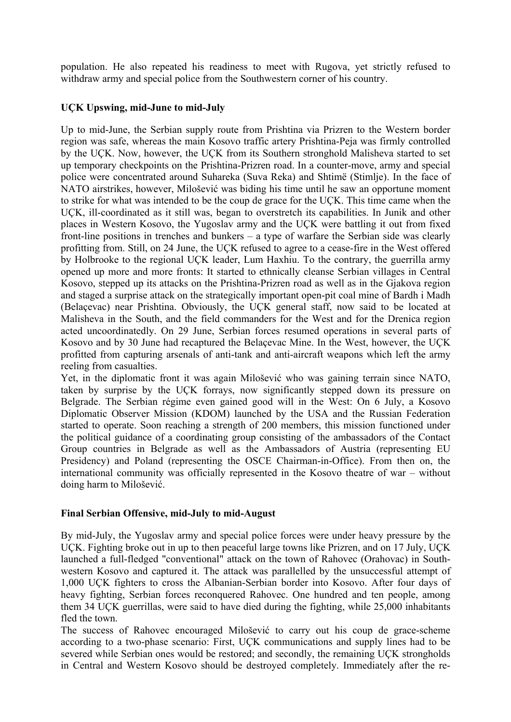population. He also repeated his readiness to meet with Rugova, yet strictly refused to withdraw army and special police from the Southwestern corner of his country.

# **UÇK Upswing, mid-June to mid-July**

Up to mid-June, the Serbian supply route from Prishtina via Prizren to the Western border region was safe, whereas the main Kosovo traffic artery Prishtina-Peja was firmly controlled by the UÇK. Now, however, the UÇK from its Southern stronghold Malisheva started to set up temporary checkpoints on the Prishtina-Prizren road. In a counter-move, army and special police were concentrated around Suhareka (Suva Reka) and Shtimë (Stimlje). In the face of NATO airstrikes, however, Milošević was biding his time until he saw an opportune moment to strike for what was intended to be the coup de grace for the UÇK. This time came when the UÇK, ill-coordinated as it still was, began to overstretch its capabilities. In Junik and other places in Western Kosovo, the Yugoslav army and the UÇK were battling it out from fixed front-line positions in trenches and bunkers – a type of warfare the Serbian side was clearly profitting from. Still, on 24 June, the UÇK refused to agree to a cease-fire in the West offered by Holbrooke to the regional UÇK leader, Lum Haxhiu. To the contrary, the guerrilla army opened up more and more fronts: It started to ethnically cleanse Serbian villages in Central Kosovo, stepped up its attacks on the Prishtina-Prizren road as well as in the Gjakova region and staged a surprise attack on the strategically important open-pit coal mine of Bardh i Madh (Belaçevac) near Prishtina. Obviously, the UÇK general staff, now said to be located at Malisheva in the South, and the field commanders for the West and for the Drenica region acted uncoordinatedly. On 29 June, Serbian forces resumed operations in several parts of Kosovo and by 30 June had recaptured the Belaçevac Mine. In the West, however, the UÇK profitted from capturing arsenals of anti-tank and anti-aircraft weapons which left the army reeling from casualties.

Yet, in the diplomatic front it was again Milošević who was gaining terrain since NATO, taken by surprise by the UÇK forrays, now significantly stepped down its pressure on Belgrade. The Serbian régime even gained good will in the West: On 6 July, a Kosovo Diplomatic Observer Mission (KDOM) launched by the USA and the Russian Federation started to operate. Soon reaching a strength of 200 members, this mission functioned under the political guidance of a coordinating group consisting of the ambassadors of the Contact Group countries in Belgrade as well as the Ambassadors of Austria (representing EU Presidency) and Poland (representing the OSCE Chairman-in-Office). From then on, the international community was officially represented in the Kosovo theatre of war – without doing harm to Milošević.

# **Final Serbian Offensive, mid-July to mid-August**

By mid-July, the Yugoslav army and special police forces were under heavy pressure by the UÇK. Fighting broke out in up to then peaceful large towns like Prizren, and on 17 July, UÇK launched a full-fledged "conventional" attack on the town of Rahovec (Orahovac) in Southwestern Kosovo and captured it. The attack was parallelled by the unsuccessful attempt of 1,000 UÇK fighters to cross the Albanian-Serbian border into Kosovo. After four days of heavy fighting, Serbian forces reconquered Rahovec. One hundred and ten people, among them 34 UÇK guerrillas, were said to have died during the fighting, while 25,000 inhabitants fled the town.

The success of Rahovec encouraged Milošević to carry out his coup de grace-scheme according to a two-phase scenario: First, UÇK communications and supply lines had to be severed while Serbian ones would be restored; and secondly, the remaining UCK strongholds in Central and Western Kosovo should be destroyed completely. Immediately after the re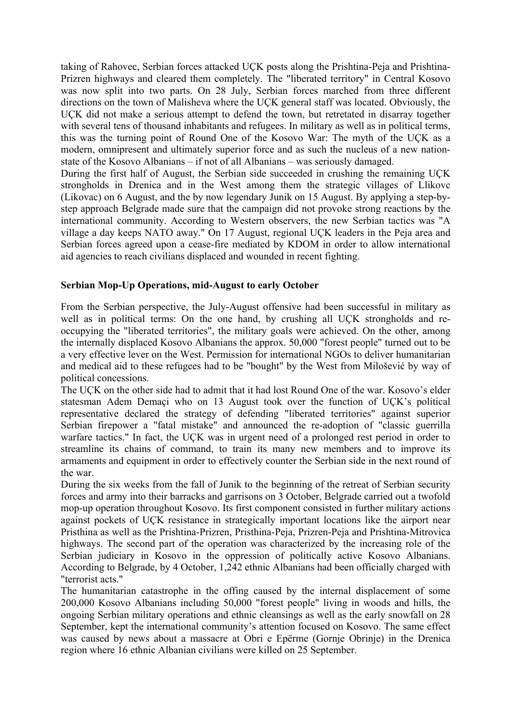taking of Rahovec, Serbian forces attacked UÇK posts along the Prishtina-Peja and Prishtina-Prizren highways and cleared them completely. The "liberated territory" in Central Kosovo was now split into two parts. On 28 July, Serbian forces marched from three different directions on the town of Malisheva where the UÇK general staff was located. Obviously, the UÇK did not make a serious attempt to defend the town, but retretated in disarray together with several tens of thousand inhabitants and refugees. In military as well as in political terms, this was the turning point of Round One of the Kosovo War: The myth of the UÇK as a modern, omnipresent and ultimately superior force and as such the nucleus of a new nationstate of the Kosovo Albanians – if not of all Albanians – was seriously damaged.

During the first half of August, the Serbian side succeeded in crushing the remaining UÇK strongholds in Drenica and in the West among them the strategic villages of Llikovc (Likovac) on 6 August, and the by now legendary Junik on 15 August. By applying a step-bystep approach Belgrade made sure that the campaign did not provoke strong reactions by the international community. According to Western observers, the new Serbian tactics was "A village a day keeps NATO away." On 17 August, regional UÇK leaders in the Peja area and Serbian forces agreed upon a cease-fire mediated by KDOM in order to allow international aid agencies to reach civilians displaced and wounded in recent fighting.

# **Serbian Mop-Up Operations, mid-August to early October**

From the Serbian perspective, the July-August offensive had been successful in military as well as in political terms: On the one hand, by crushing all UÇK strongholds and reoccupying the "liberated territories", the military goals were achieved. On the other, among the internally displaced Kosovo Albanians the approx. 50,000 "forest people" turned out to be a very effective lever on the West. Permission for international NGOs to deliver humanitarian and medical aid to these refugees had to be "bought" by the West from Milošević by way of political concessions.

The UÇK on the other side had to admit that it had lost Round One of the war. Kosovo's elder statesman Adem Demaçi who on 13 August took over the function of UÇK's political representative declared the strategy of defending "liberated territories" against superior Serbian firepower a "fatal mistake" and announced the re-adoption of "classic guerrilla warfare tactics." In fact, the UCK was in urgent need of a prolonged rest period in order to streamline its chains of command, to train its many new members and to improve its armaments and equipment in order to effectively counter the Serbian side in the next round of the war.

During the six weeks from the fall of Junik to the beginning of the retreat of Serbian security forces and army into their barracks and garrisons on 3 October, Belgrade carried out a twofold mop-up operation throughout Kosovo. Its first component consisted in further military actions against pockets of UÇK resistance in strategically important locations like the airport near Pristhina as well as the Prishtina-Prizren, Pristhina-Peja, Prizren-Peja and Prishtina-Mitrovica highways. The second part of the operation was characterized by the increasing role of the Serbian judiciary in Kosovo in the oppression of politically active Kosovo Albanians. According to Belgrade, by 4 October, 1,242 ethnic Albanians had been officially charged with "terrorist acts."

The humanitarian catastrophe in the offing caused by the internal displacement of some 200,000 Kosovo Albanians including 50,000 "forest people" living in woods and hills, the ongoing Serbian military operations and ethnic cleansings as well as the early snowfall on 28 September, kept the international community's attention focused on Kosovo. The same effect was caused by news about a massacre at Obri e Epërme (Gornje Obrinje) in the Drenica region where 16 ethnic Albanian civilians were killed on 25 September.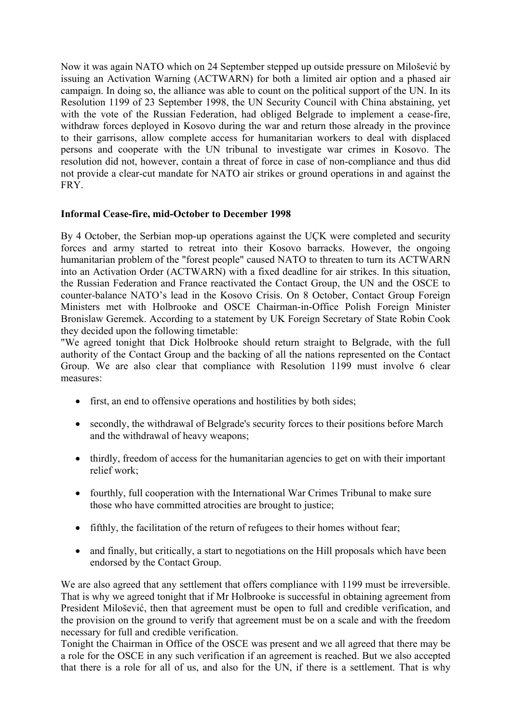Now it was again NATO which on 24 September stepped up outside pressure on Milošević by issuing an Activation Warning (ACTWARN) for both a limited air option and a phased air campaign. In doing so, the alliance was able to count on the political support of the UN. In its Resolution 1199 of 23 September 1998, the UN Security Council with China abstaining, yet with the vote of the Russian Federation, had obliged Belgrade to implement a cease-fire, withdraw forces deployed in Kosovo during the war and return those already in the province to their garrisons, allow complete access for humanitarian workers to deal with displaced persons and cooperate with the UN tribunal to investigate war crimes in Kosovo. The resolution did not, however, contain a threat of force in case of non-compliance and thus did not provide a clear-cut mandate for NATO air strikes or ground operations in and against the FRY.

# **Informal Cease-fire, mid-October to December 1998**

By 4 October, the Serbian mop-up operations against the UÇK were completed and security forces and army started to retreat into their Kosovo barracks. However, the ongoing humanitarian problem of the "forest people" caused NATO to threaten to turn its ACTWARN into an Activation Order (ACTWARN) with a fixed deadline for air strikes. In this situation, the Russian Federation and France reactivated the Contact Group, the UN and the OSCE to counter-balance NATO's lead in the Kosovo Crisis. On 8 October, Contact Group Foreign Ministers met with Holbrooke and OSCE Chairman-in-Office Polish Foreign Minister Bronislaw Geremek. According to a statement by UK Foreign Secretary of State Robin Cook they decided upon the following timetable:

"We agreed tonight that Dick Holbrooke should return straight to Belgrade, with the full authority of the Contact Group and the backing of all the nations represented on the Contact Group. We are also clear that compliance with Resolution 1199 must involve 6 clear measures:

- first, an end to offensive operations and hostilities by both sides;
- secondly, the withdrawal of Belgrade's security forces to their positions before March and the withdrawal of heavy weapons;
- thirdly, freedom of access for the humanitarian agencies to get on with their important relief work;
- fourthly, full cooperation with the International War Crimes Tribunal to make sure those who have committed atrocities are brought to justice;
- fifthly, the facilitation of the return of refugees to their homes without fear;
- and finally, but critically, a start to negotiations on the Hill proposals which have been endorsed by the Contact Group.

We are also agreed that any settlement that offers compliance with 1199 must be irreversible. That is why we agreed tonight that if Mr Holbrooke is successful in obtaining agreement from President Milošević, then that agreement must be open to full and credible verification, and the provision on the ground to verify that agreement must be on a scale and with the freedom necessary for full and credible verification.

Tonight the Chairman in Office of the OSCE was present and we all agreed that there may be a role for the OSCE in any such verification if an agreement is reached. But we also accepted that there is a role for all of us, and also for the UN, if there is a settlement. That is why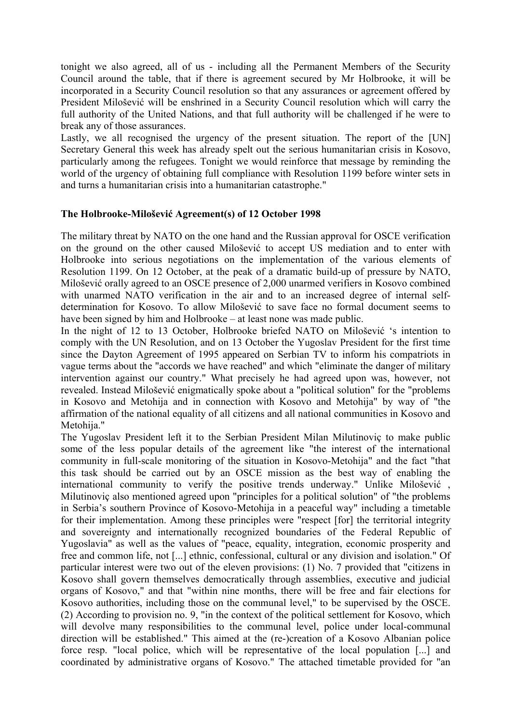tonight we also agreed, all of us - including all the Permanent Members of the Security Council around the table, that if there is agreement secured by Mr Holbrooke, it will be incorporated in a Security Council resolution so that any assurances or agreement offered by President Milošević will be enshrined in a Security Council resolution which will carry the full authority of the United Nations, and that full authority will be challenged if he were to break any of those assurances.

Lastly, we all recognised the urgency of the present situation. The report of the [UN] Secretary General this week has already spelt out the serious humanitarian crisis in Kosovo, particularly among the refugees. Tonight we would reinforce that message by reminding the world of the urgency of obtaining full compliance with Resolution 1199 before winter sets in and turns a humanitarian crisis into a humanitarian catastrophe."

# **The Holbrooke-Milošević Agreement(s) of 12 October 1998**

The military threat by NATO on the one hand and the Russian approval for OSCE verification on the ground on the other caused Milošević to accept US mediation and to enter with Holbrooke into serious negotiations on the implementation of the various elements of Resolution 1199. On 12 October, at the peak of a dramatic build-up of pressure by NATO, Milošević orally agreed to an OSCE presence of 2,000 unarmed verifiers in Kosovo combined with unarmed NATO verification in the air and to an increased degree of internal selfdetermination for Kosovo. To allow Milošević to save face no formal document seems to have been signed by him and Holbrooke – at least none was made public.

In the night of 12 to 13 October, Holbrooke briefed NATO on Milošević 's intention to comply with the UN Resolution, and on 13 October the Yugoslav President for the first time since the Dayton Agreement of 1995 appeared on Serbian TV to inform his compatriots in vague terms about the "accords we have reached" and which "eliminate the danger of military intervention against our country." What precisely he had agreed upon was, however, not revealed. Instead Milošević enigmatically spoke about a "political solution" for the "problems in Kosovo and Metohija and in connection with Kosovo and Metohija" by way of "the affirmation of the national equality of all citizens and all national communities in Kosovo and Metohija."

The Yugoslav President left it to the Serbian President Milan Milutinoviç to make public some of the less popular details of the agreement like "the interest of the international community in full-scale monitoring of the situation in Kosovo-Metohija" and the fact "that this task should be carried out by an OSCE mission as the best way of enabling the international community to verify the positive trends underway." Unlike Milošević , Milutinoviç also mentioned agreed upon "principles for a political solution" of "the problems in Serbia's southern Province of Kosovo-Metohija in a peaceful way" including a timetable for their implementation. Among these principles were "respect [for] the territorial integrity and sovereignty and internationally recognized boundaries of the Federal Republic of Yugoslavia" as well as the values of "peace, equality, integration, economic prosperity and free and common life, not [...] ethnic, confessional, cultural or any division and isolation." Of particular interest were two out of the eleven provisions: (1) No. 7 provided that "citizens in Kosovo shall govern themselves democratically through assemblies, executive and judicial organs of Kosovo," and that "within nine months, there will be free and fair elections for Kosovo authorities, including those on the communal level," to be supervised by the OSCE. (2) According to provision no. 9, "in the context of the political settlement for Kosovo, which will devolve many responsibilities to the communal level, police under local-communal direction will be established." This aimed at the (re-)creation of a Kosovo Albanian police force resp. "local police, which will be representative of the local population [...] and coordinated by administrative organs of Kosovo." The attached timetable provided for "an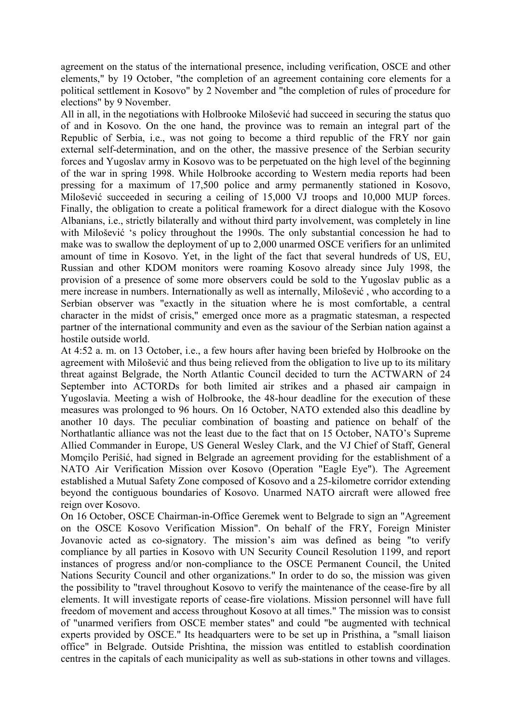agreement on the status of the international presence, including verification, OSCE and other elements," by 19 October, "the completion of an agreement containing core elements for a political settlement in Kosovo" by 2 November and "the completion of rules of procedure for elections" by 9 November.

All in all, in the negotiations with Holbrooke Milošević had succeed in securing the status quo of and in Kosovo. On the one hand, the province was to remain an integral part of the Republic of Serbia, i.e., was not going to become a third republic of the FRY nor gain external self-determination, and on the other, the massive presence of the Serbian security forces and Yugoslav army in Kosovo was to be perpetuated on the high level of the beginning of the war in spring 1998. While Holbrooke according to Western media reports had been pressing for a maximum of 17,500 police and army permanently stationed in Kosovo, Milošević succeeded in securing a ceiling of 15,000 VJ troops and 10,000 MUP forces. Finally, the obligation to create a political framework for a direct dialogue with the Kosovo Albanians, i.e., strictly bilaterally and without third party involvement, was completely in line with Milošević 's policy throughout the 1990s. The only substantial concession he had to make was to swallow the deployment of up to 2,000 unarmed OSCE verifiers for an unlimited amount of time in Kosovo. Yet, in the light of the fact that several hundreds of US, EU, Russian and other KDOM monitors were roaming Kosovo already since July 1998, the provision of a presence of some more observers could be sold to the Yugoslav public as a mere increase in numbers. Internationally as well as internally, Milošević , who according to a Serbian observer was "exactly in the situation where he is most comfortable, a central character in the midst of crisis," emerged once more as a pragmatic statesman, a respected partner of the international community and even as the saviour of the Serbian nation against a hostile outside world.

At 4:52 a. m. on 13 October, i.e., a few hours after having been briefed by Holbrooke on the agreement with Milošević and thus being relieved from the obligation to live up to its military threat against Belgrade, the North Atlantic Council decided to turn the ACTWARN of 24 September into ACTORDs for both limited air strikes and a phased air campaign in Yugoslavia. Meeting a wish of Holbrooke, the 48-hour deadline for the execution of these measures was prolonged to 96 hours. On 16 October, NATO extended also this deadline by another 10 days. The peculiar combination of boasting and patience on behalf of the Northatlantic alliance was not the least due to the fact that on 15 October, NATO's Supreme Allied Commander in Europe, US General Wesley Clark, and the VJ Chief of Staff, General Momçilo Perišić, had signed in Belgrade an agreement providing for the establishment of a NATO Air Verification Mission over Kosovo (Operation "Eagle Eye"). The Agreement established a Mutual Safety Zone composed of Kosovo and a 25-kilometre corridor extending beyond the contiguous boundaries of Kosovo. Unarmed NATO aircraft were allowed free reign over Kosovo.

On 16 October, OSCE Chairman-in-Office Geremek went to Belgrade to sign an "Agreement on the OSCE Kosovo Verification Mission". On behalf of the FRY, Foreign Minister Jovanovic acted as co-signatory. The mission's aim was defined as being "to verify compliance by all parties in Kosovo with UN Security Council Resolution 1199, and report instances of progress and/or non-compliance to the OSCE Permanent Council, the United Nations Security Council and other organizations." In order to do so, the mission was given the possibility to "travel throughout Kosovo to verify the maintenance of the cease-fire by all elements. It will investigate reports of cease-fire violations. Mission personnel will have full freedom of movement and access throughout Kosovo at all times." The mission was to consist of "unarmed verifiers from OSCE member states" and could "be augmented with technical experts provided by OSCE." Its headquarters were to be set up in Pristhina, a "small liaison office" in Belgrade. Outside Prishtina, the mission was entitled to establish coordination centres in the capitals of each municipality as well as sub-stations in other towns and villages.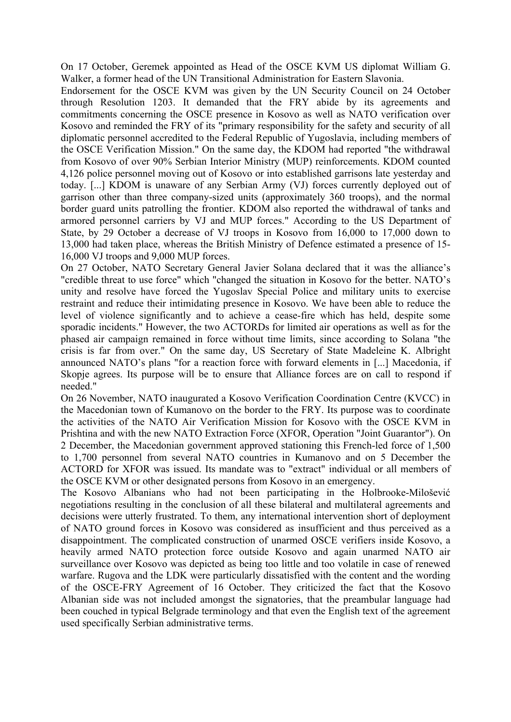On 17 October, Geremek appointed as Head of the OSCE KVM US diplomat William G. Walker, a former head of the UN Transitional Administration for Eastern Slavonia.

Endorsement for the OSCE KVM was given by the UN Security Council on 24 October through Resolution 1203. It demanded that the FRY abide by its agreements and commitments concerning the OSCE presence in Kosovo as well as NATO verification over Kosovo and reminded the FRY of its "primary responsibility for the safety and security of all diplomatic personnel accredited to the Federal Republic of Yugoslavia, including members of the OSCE Verification Mission." On the same day, the KDOM had reported "the withdrawal from Kosovo of over 90% Serbian Interior Ministry (MUP) reinforcements. KDOM counted 4,126 police personnel moving out of Kosovo or into established garrisons late yesterday and today. [...] KDOM is unaware of any Serbian Army (VJ) forces currently deployed out of garrison other than three company-sized units (approximately 360 troops), and the normal border guard units patrolling the frontier. KDOM also reported the withdrawal of tanks and armored personnel carriers by VJ and MUP forces." According to the US Department of State, by 29 October a decrease of VJ troops in Kosovo from 16,000 to 17,000 down to 13,000 had taken place, whereas the British Ministry of Defence estimated a presence of 15- 16,000 VJ troops and 9,000 MUP forces.

On 27 October, NATO Secretary General Javier Solana declared that it was the alliance's "credible threat to use force" which "changed the situation in Kosovo for the better. NATO's unity and resolve have forced the Yugoslav Special Police and military units to exercise restraint and reduce their intimidating presence in Kosovo. We have been able to reduce the level of violence significantly and to achieve a cease-fire which has held, despite some sporadic incidents." However, the two ACTORDs for limited air operations as well as for the phased air campaign remained in force without time limits, since according to Solana "the crisis is far from over." On the same day, US Secretary of State Madeleine K. Albright announced NATO's plans "for a reaction force with forward elements in [...] Macedonia, if Skopje agrees. Its purpose will be to ensure that Alliance forces are on call to respond if needed."

On 26 November, NATO inaugurated a Kosovo Verification Coordination Centre (KVCC) in the Macedonian town of Kumanovo on the border to the FRY. Its purpose was to coordinate the activities of the NATO Air Verification Mission for Kosovo with the OSCE KVM in Prishtina and with the new NATO Extraction Force (XFOR, Operation "Joint Guarantor"). On 2 December, the Macedonian government approved stationing this French-led force of 1,500 to 1,700 personnel from several NATO countries in Kumanovo and on 5 December the ACTORD for XFOR was issued. Its mandate was to "extract" individual or all members of the OSCE KVM or other designated persons from Kosovo in an emergency.

The Kosovo Albanians who had not been participating in the Holbrooke-Milošević negotiations resulting in the conclusion of all these bilateral and multilateral agreements and decisions were utterly frustrated. To them, any international intervention short of deployment of NATO ground forces in Kosovo was considered as insufficient and thus perceived as a disappointment. The complicated construction of unarmed OSCE verifiers inside Kosovo, a heavily armed NATO protection force outside Kosovo and again unarmed NATO air surveillance over Kosovo was depicted as being too little and too volatile in case of renewed warfare. Rugova and the LDK were particularly dissatisfied with the content and the wording of the OSCE-FRY Agreement of 16 October. They criticized the fact that the Kosovo Albanian side was not included amongst the signatories, that the preambular language had been couched in typical Belgrade terminology and that even the English text of the agreement used specifically Serbian administrative terms.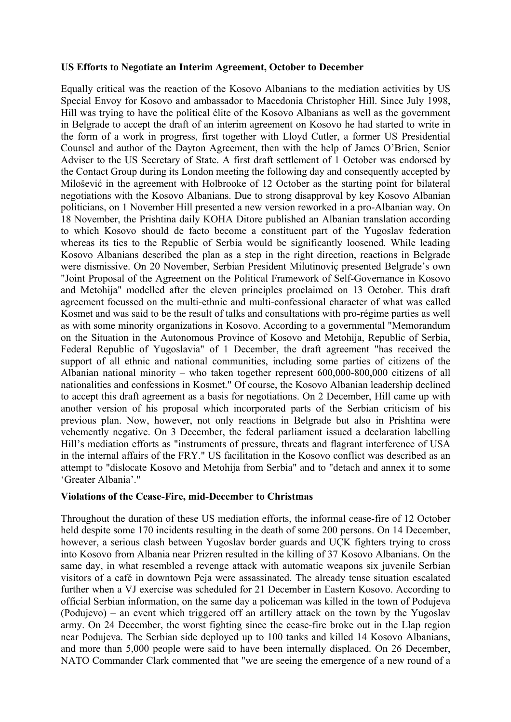#### **US Efforts to Negotiate an Interim Agreement, October to December**

Equally critical was the reaction of the Kosovo Albanians to the mediation activities by US Special Envoy for Kosovo and ambassador to Macedonia Christopher Hill. Since July 1998, Hill was trying to have the political élite of the Kosovo Albanians as well as the government in Belgrade to accept the draft of an interim agreement on Kosovo he had started to write in the form of a work in progress, first together with Lloyd Cutler, a former US Presidential Counsel and author of the Dayton Agreement, then with the help of James O'Brien, Senior Adviser to the US Secretary of State. A first draft settlement of 1 October was endorsed by the Contact Group during its London meeting the following day and consequently accepted by Milošević in the agreement with Holbrooke of 12 October as the starting point for bilateral negotiations with the Kosovo Albanians. Due to strong disapproval by key Kosovo Albanian politicians, on 1 November Hill presented a new version reworked in a pro-Albanian way. On 18 November, the Prishtina daily KOHA Ditore published an Albanian translation according to which Kosovo should de facto become a constituent part of the Yugoslav federation whereas its ties to the Republic of Serbia would be significantly loosened. While leading Kosovo Albanians described the plan as a step in the right direction, reactions in Belgrade were dismissive. On 20 November, Serbian President Milutinoviç presented Belgrade's own "Joint Proposal of the Agreement on the Political Framework of Self-Governance in Kosovo and Metohija" modelled after the eleven principles proclaimed on 13 October. This draft agreement focussed on the multi-ethnic and multi-confessional character of what was called Kosmet and was said to be the result of talks and consultations with pro-régime parties as well as with some minority organizations in Kosovo. According to a governmental "Memorandum on the Situation in the Autonomous Province of Kosovo and Metohija, Republic of Serbia, Federal Republic of Yugoslavia" of 1 December, the draft agreement "has received the support of all ethnic and national communities, including some parties of citizens of the Albanian national minority – who taken together represent 600,000-800,000 citizens of all nationalities and confessions in Kosmet." Of course, the Kosovo Albanian leadership declined to accept this draft agreement as a basis for negotiations. On 2 December, Hill came up with another version of his proposal which incorporated parts of the Serbian criticism of his previous plan. Now, however, not only reactions in Belgrade but also in Prishtina were vehemently negative. On 3 December, the federal parliament issued a declaration labelling Hill's mediation efforts as "instruments of pressure, threats and flagrant interference of USA in the internal affairs of the FRY." US facilitation in the Kosovo conflict was described as an attempt to "dislocate Kosovo and Metohija from Serbia" and to "detach and annex it to some 'Greater Albania'."

## **Violations of the Cease-Fire, mid-December to Christmas**

Throughout the duration of these US mediation efforts, the informal cease-fire of 12 October held despite some 170 incidents resulting in the death of some 200 persons. On 14 December, however, a serious clash between Yugoslav border guards and UÇK fighters trying to cross into Kosovo from Albania near Prizren resulted in the killing of 37 Kosovo Albanians. On the same day, in what resembled a revenge attack with automatic weapons six juvenile Serbian visitors of a café in downtown Peja were assassinated. The already tense situation escalated further when a VJ exercise was scheduled for 21 December in Eastern Kosovo. According to official Serbian information, on the same day a policeman was killed in the town of Podujeva (Podujevo) – an event which triggered off an artillery attack on the town by the Yugoslav army. On 24 December, the worst fighting since the cease-fire broke out in the Llap region near Podujeva. The Serbian side deployed up to 100 tanks and killed 14 Kosovo Albanians, and more than 5,000 people were said to have been internally displaced. On 26 December, NATO Commander Clark commented that "we are seeing the emergence of a new round of a